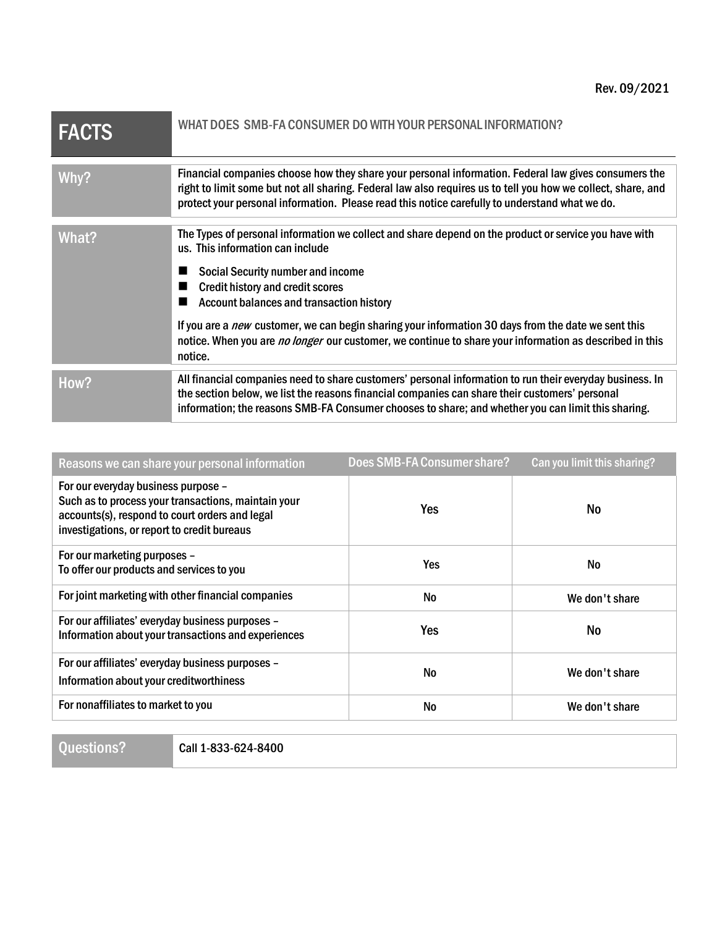| <b>FACTS</b> | WHAT DOES SMB-FA CONSUMER DO WITH YOUR PERSONAL INFORMATION?                                                                                                                                                                                                                                                                                                                                                                                                                                                            |
|--------------|-------------------------------------------------------------------------------------------------------------------------------------------------------------------------------------------------------------------------------------------------------------------------------------------------------------------------------------------------------------------------------------------------------------------------------------------------------------------------------------------------------------------------|
| Why?         | Financial companies choose how they share your personal information. Federal law gives consumers the<br>right to limit some but not all sharing. Federal law also requires us to tell you how we collect, share, and<br>protect your personal information. Please read this notice carefully to understand what we do.                                                                                                                                                                                                  |
| What?        | The Types of personal information we collect and share depend on the product or service you have with<br>us. This information can include<br><b>Social Security number and income</b><br><b>Credit history and credit scores</b><br><b>Account balances and transaction history</b><br>If you are a <i>new</i> customer, we can begin sharing your information 30 days from the date we sent this<br>notice. When you are no longer our customer, we continue to share your information as described in this<br>notice. |
| How?         | All financial companies need to share customers' personal information to run their everyday business. In<br>the section below, we list the reasons financial companies can share their customers' personal<br>information; the reasons SMB-FA Consumer chooses to share; and whether you can limit this sharing.                                                                                                                                                                                                        |

| Reasons we can share your personal information                                                                                                                                              | Does SMB-FA Consumer share? | Can you limit this sharing? |
|---------------------------------------------------------------------------------------------------------------------------------------------------------------------------------------------|-----------------------------|-----------------------------|
| For our everyday business purpose -<br>Such as to process your transactions, maintain your<br>accounts(s), respond to court orders and legal<br>investigations, or report to credit bureaus | Yes                         | No                          |
| For our marketing purposes -<br>To offer our products and services to you                                                                                                                   | Yes                         | <b>No</b>                   |
| For joint marketing with other financial companies                                                                                                                                          | <b>No</b>                   | We don't share              |
| For our affiliates' everyday business purposes -<br>Information about your transactions and experiences                                                                                     | Yes                         | No                          |
| For our affiliates' everyday business purposes -<br>Information about your creditworthiness                                                                                                 | <b>No</b>                   | We don't share              |
| For nonaffiliates to market to you                                                                                                                                                          | No.                         | We don't share              |

Questions? Call 1-833-624-8400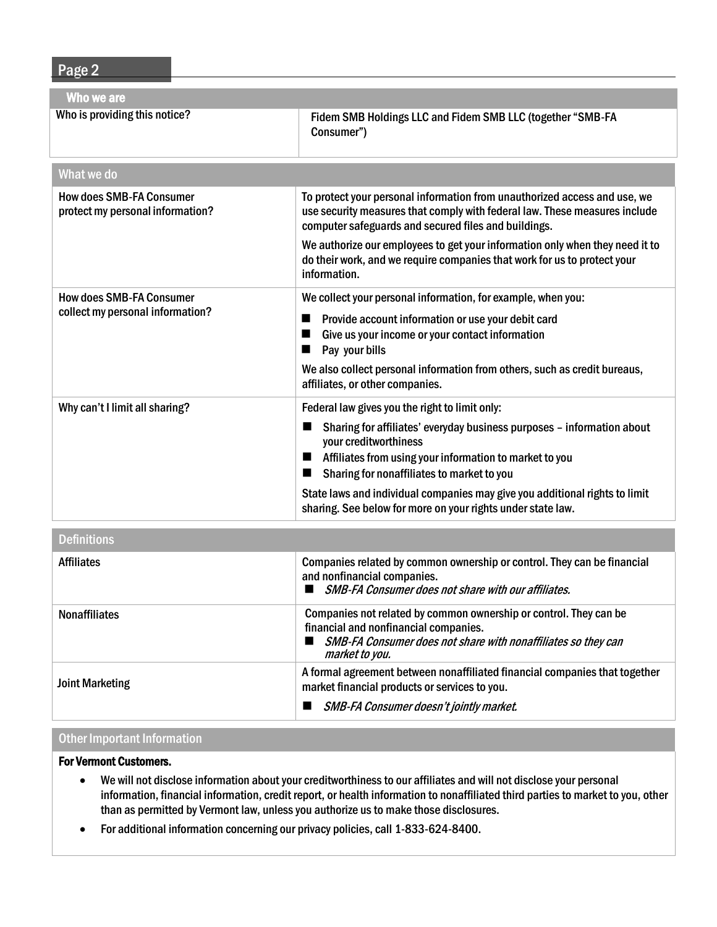Page 2

| Who we are                                                          |                                                                                                                                                                                                                 |  |  |  |
|---------------------------------------------------------------------|-----------------------------------------------------------------------------------------------------------------------------------------------------------------------------------------------------------------|--|--|--|
| Who is providing this notice?                                       | Fidem SMB Holdings LLC and Fidem SMB LLC (together "SMB-FA<br>Consumer")                                                                                                                                        |  |  |  |
| What we do                                                          |                                                                                                                                                                                                                 |  |  |  |
| <b>How does SMB-FA Consumer</b><br>protect my personal information? | To protect your personal information from unauthorized access and use, we<br>use security measures that comply with federal law. These measures include<br>computer safeguards and secured files and buildings. |  |  |  |
|                                                                     | We authorize our employees to get your information only when they need it to<br>do their work, and we require companies that work for us to protect your<br>information.                                        |  |  |  |
| <b>How does SMB-FA Consumer</b><br>collect my personal information? | We collect your personal information, for example, when you:<br>Provide account information or use your debit card                                                                                              |  |  |  |
|                                                                     | Give us your income or your contact information<br>■<br>Pay your bills<br>■                                                                                                                                     |  |  |  |
|                                                                     | We also collect personal information from others, such as credit bureaus,<br>affiliates, or other companies.                                                                                                    |  |  |  |
| Why can't I limit all sharing?                                      | Federal law gives you the right to limit only:                                                                                                                                                                  |  |  |  |
|                                                                     | Sharing for affiliates' everyday business purposes - information about<br>E<br>your creditworthiness                                                                                                            |  |  |  |
|                                                                     | Affiliates from using your information to market to you<br>■<br>Sharing for nonaffiliates to market to you<br>п                                                                                                 |  |  |  |
|                                                                     | State laws and individual companies may give you additional rights to limit<br>sharing. See below for more on your rights under state law.                                                                      |  |  |  |
| <b>Definitions</b>                                                  |                                                                                                                                                                                                                 |  |  |  |

| рошнионо               |                                                                                                                                                                                               |
|------------------------|-----------------------------------------------------------------------------------------------------------------------------------------------------------------------------------------------|
| <b>Affiliates</b>      | Companies related by common ownership or control. They can be financial<br>and nonfinancial companies.<br><b>SMB-FA Consumer does not share with our affiliates.</b>                          |
| <b>Nonaffiliates</b>   | Companies not related by common ownership or control. They can be<br>financial and nonfinancial companies.<br>SMB-FA Consumer does not share with nonaffiliates so they can<br>market to you. |
| <b>Joint Marketing</b> | A formal agreement between nonaffiliated financial companies that together<br>market financial products or services to you.<br><b>SMB-FA Consumer doesn't jointly market.</b>                 |
|                        |                                                                                                                                                                                               |

## Other Important Information

## For Vermont Customers.

- We will not disclose information about your creditworthiness to our affiliates and will not disclose your personal information, financial information, credit report, or health information to nonaffiliated third parties to market to you, other than as permitted by Vermont law, unless you authorize us to make those disclosures.
- For additional information concerning our privacy policies, call 1-833-624-8400.